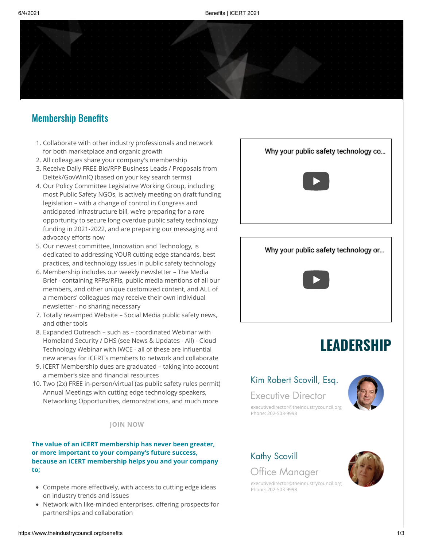# Membership Benefits

- 1. Collaborate with other industry professionals and network for both marketplace and organic growth
- 2. All colleagues share your company's membership
- 3. Receive Daily FREE Bid/RFP Business Leads / Proposals from Deltek/GovWinIQ (based on your key search terms)
- 4. Our Policy Committee Legislative Working Group, including most Public Safety NGOs, is actively meeting on draft funding legislation – with a change of control in Congress and anticipated infrastructure bill, we're preparing for a rare opportunity to secure long overdue public safety technology funding in 2021-2022, and are preparing our messaging and advocacy efforts now
- 5. Our newest committee, Innovation and Technology, is dedicated to addressing YOUR cutting edge standards, best practices, and technology issues in public safety technology
- 6. Membership includes our weekly newsletter The Media Brief - containing RFPs/RFIs, public media mentions of all our members, and other unique customized content, and ALL of a members' colleagues may receive their own individual newsletter - no sharing necessary
- 7. Totally revamped Website Social Media public safety news, and other tools
- 8. Expanded Outreach such as coordinated Webinar with Homeland Security / DHS (see [News & Updates - All](https://www.theindustrycouncil.org/news)) - Cloud Technology Webinar with IWCE - all of these are influential new arenas for iCERT's members to network and collaborate
- 9. iCERT Membership dues are graduated taking into account a member's size and financial resources
- 10. Two (2x) FREE in-person/virtual (as public safety rules permit) Annual Meetings with cutting edge technology speakers, Networking Opportunities, demonstrations, and much more

#### **JOIN [NOW](https://www.theindustrycouncil.org/join-icert)**

### **The value of an iCERT membership has never been greater, or more important to your company's future success, because an iCERT membership helps you and your company to;**

- Compete more effectively, with access to cutting edge ideas on industry trends and issues
- Network with like-minded enterprises, offering prospects for partnerships and collaboration



# [Why your public safety technology or…](https://www.youtube.com/watch?v=7bhYL8F6OFo)



# **LEADERSHIP**

# Kim Robert Scovill, Esq.

Executive Director



[executivedirector@theindustrycouncil.org](mailto:executivedirector@theindustrycouncil.org) Phone: 202-503-9998

# Kathy Scovill

Office Manager

[executivedirector@theindustrycouncil.org](mailto:executivedirector@theindustrycouncil.org) Phone: 202-503-9998

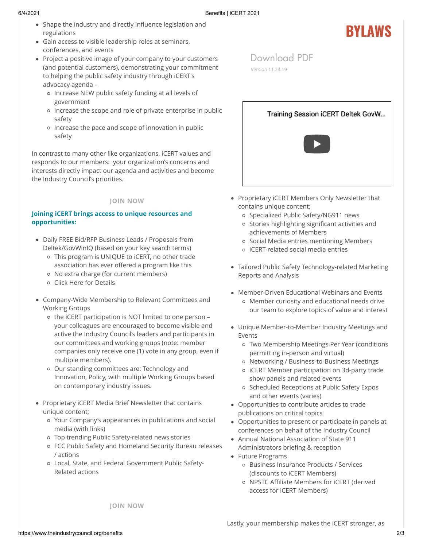- Shape the industry and directly influence legislation and regulations
- Gain access to visible leadership roles at seminars, conferences, and events
- Project a positive image of your company to your customers (and potential customers), demonstrating your commitment to helping the public safety industry through iCERT's advocacy agenda –
	- o Increase NEW public safety funding at all levels of government
	- o Increase the scope and role of private enterprise in public safety
	- o Increase the pace and scope of innovation in public safety

In contrast to many other like organizations, iCERT values and responds to our members: your organization's concerns and interests directly impact our agenda and activities and become the Industry Council's priorities.

# **JOIN [NOW](https://www.theindustrycouncil.org/join-icert)**

# **Joining iCERT brings access to unique resources and opportunities:**

- Daily FREE Bid/RFP Business Leads / Proposals from Deltek/GovWinIQ (based on your key search terms)
	- This program is UNIQUE to iCERT, no other trade association has ever offered a program like this
	- No extra charge (for current members)
	- [Click Here for Details](https://www.theindustrycouncil.org/post/free-bid-rpf-leads-via-deltek-to-icert-members)
- Company-Wide Membership to Relevant Committees and Working Groups
	- o the iCERT participation is NOT limited to one person your colleagues are encouraged to become visible and active the Industry Council's leaders and participants in our committees and working groups (note: member companies only receive one (1) vote in any group, even if multiple members).
	- o Our standing committees are: Technology and Innovation, Policy, with multiple Working Groups based on contemporary industry issues.
- Proprietary iCERT Media Brief Newsletter that contains unique content;
	- Your Company's appearances in publications and social media (with links)
	- Top trending Public Safety-related news stories
	- FCC Public Safety and Homeland Security Bureau releases / actions
	- Local, State, and Federal Government Public Safety-Related actions



**BYLAWS**

[Download](https://9645fc45-5a40-4f1f-b454-2d8e2f0ed0b7.filesusr.com/ugd/b8d2ce_94c4febb1320438dac1eb33950f8b60a.pdf) PDF

[Version 11.24.19](mailto:executivedirector@theindustrycouncil.org)

- Proprietary iCERT Members Only Newsletter that contains unique content;
	- o Specialized Public Safety/NG911 news
	- Stories highlighting significant activities and achievements of Members
	- o Social Media entries mentioning Members
	- iCERT-related social media entries
- Tailored Public Safety Technology-related Marketing Reports and Analysis
- Member-Driven Educational Webinars and Events Member curiosity and educational needs drive our team to explore topics of value and interest
- Unique Member-to-Member Industry Meetings and Events
	- Two Membership Meetings Per Year (conditions permitting in-person and virtual)
	- Networking / Business-to-Business Meetings
	- iCERT Member participation on 3d-party trade show panels and related events
	- o Scheduled Receptions at Public Safety Expos and other events (varies)
- Opportunities to contribute articles to trade publications on critical topics
- Opportunities to present or participate in panels at conferences on behalf of the Industry Council
- Annual National Association of State 911 Administrators briefing & reception
- Future Programs
	- Business Insurance Products / Services (discounts to iCERT Members)
	- o NPSTC Affiliate Members for iCERT (derived access for iCERT Members)

**JOIN [NOW](https://www.theindustrycouncil.org/join-icert)**